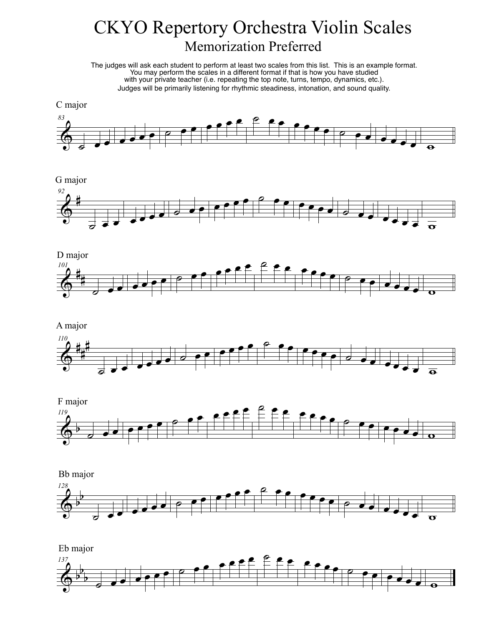## CKYO Repertory Orchestra Violin Scales Memorization Preferred

The judges will ask each student to perform at least two scales from this list. This is an example format. You may perform the scales in a different format if that is how you have studied with your private teacher (i.e. repeating the top note, turns, tempo, dynamics, etc.). Judges will be primarily listening for rhythmic steadiness, intonation, and sound quality.



G major





```
A major
```




Bb major



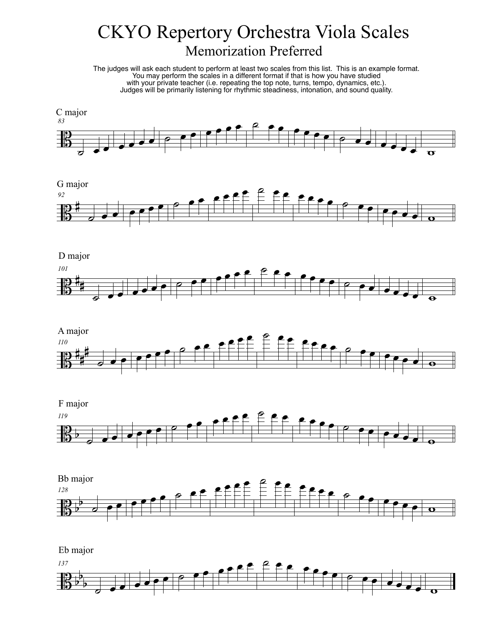## CKYO Repertory Orchestra Viola Scales Memorization Preferred

The judges will ask each student to perform at least two scales from this list. This is an example format. You may perform the scales in a different format if that is how you have studied with your private teacher (i.e. repeating the top note, turns, tempo, dynamics, etc.). Judges will be primarily listening for rhythmic steadiness, intonation, and sound quality.













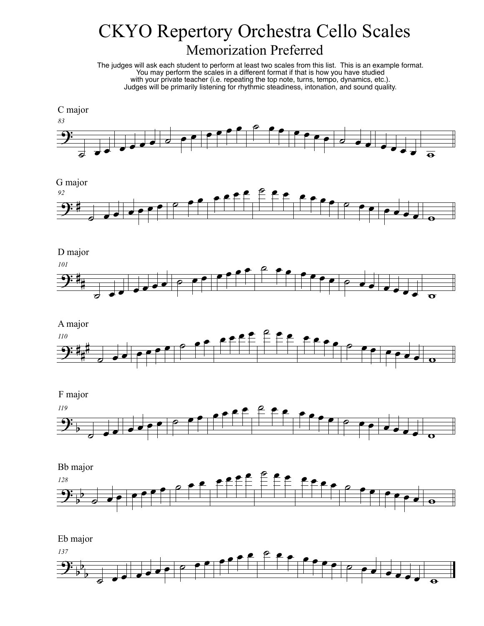## CKYO Repertory Orchestra Cello Scales Memorization Preferred

The judges will ask each student to perform at least two scales from this list. This is an example format. You may perform the scales in a different format if that is how you have studied with your private teacher (i.e. repeating the top note, turns, tempo, dynamics, etc.). Judges will be primarily listening for rhythmic steadiness, intonation, and sound quality.



 $9:4$ *92* ˙ <sup>œ</sup> <sup>œ</sup> <sup>œ</sup> <sup>œ</sup> <sup>œ</sup> <sup>œ</sup> ˙ <sup>œ</sup> <sup>œ</sup> <sup>œ</sup> <sup>œ</sup> <sup>œ</sup> <sup>œ</sup> ˙ <sup>œ</sup> <sup>œ</sup> <sup>œ</sup> <sup>œ</sup> <sup>œ</sup> <sup>œ</sup> ˙ <sup>œ</sup> <sup>œ</sup> <sup>œ</sup> <sup>œ</sup> <sup>œ</sup> <sup>œ</sup> <sup>w</sup> G major









 $\overline{\mathbf{G}_{b}^{2}}$ b b *137* ˙ <sup>œ</sup> <sup>œ</sup> <sup>œ</sup> <sup>œ</sup> <sup>œ</sup> <sup>œ</sup> ˙ <sup>œ</sup> <sup>œ</sup> <sup>œ</sup> <sup>œ</sup> <sup>œ</sup> <sup>œ</sup> ˙ <sup>œ</sup> <sup>œ</sup> <sup>œ</sup> <sup>œ</sup> <sup>œ</sup> <sup>œ</sup> ˙ <sup>œ</sup> <sup>œ</sup> <sup>œ</sup> <sup>œ</sup> <sup>œ</sup> <sup>œ</sup> <sup>w</sup> Eb major